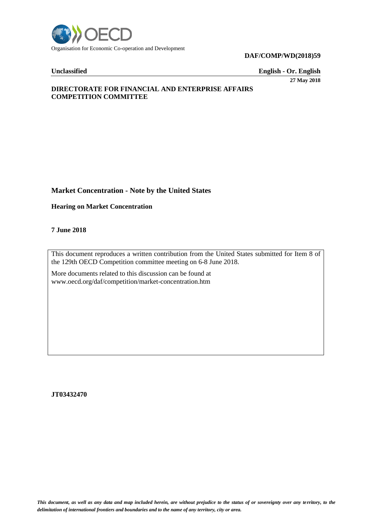

### **DAF/COMP/WD(2018)59**

**Unclassified English - Or. English**

**27 May 2018**

## **DIRECTORATE FOR FINANCIAL AND ENTERPRISE AFFAIRS COMPETITION COMMITTEE**

## **Market Concentration - Note by the United States**

**Hearing on Market Concentration** 

**7 June 2018** 

This document reproduces a written contribution from the United States submitted for Item 8 of the 129th OECD Competition committee meeting on 6-8 June 2018.

More documents related to this discussion can be found at www.oecd.org/daf/competition/market-concentration.htm

**JT03432470**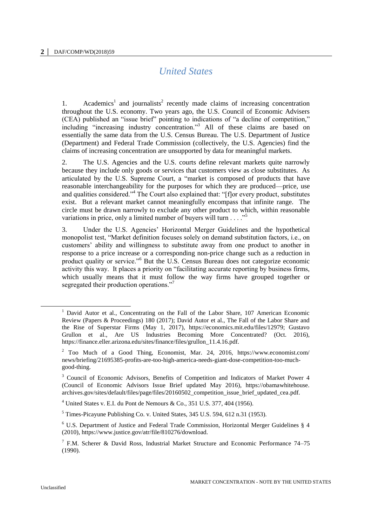# *United States*

1. Academics<sup>1</sup> and journalists<sup>2</sup> recently made claims of increasing concentration throughout the U.S. economy. Two years ago, the U.S. Council of Economic Advisers (CEA) published an "issue brief" pointing to indications of "a decline of competition," including "increasing industry concentration."<sup>3</sup> All of these claims are based on essentially the same data from the U.S. Census Bureau. The U.S. Department of Justice (Department) and Federal Trade Commission (collectively, the U.S. Agencies) find the claims of increasing concentration are unsupported by data for meaningful markets.

2. The U.S. Agencies and the U.S. courts define relevant markets quite narrowly because they include only goods or services that customers view as close substitutes. As articulated by the U.S. Supreme Court, a "market is composed of products that have reasonable interchangeability for the purposes for which they are produced—price, use and qualities considered."<sup>4</sup> The Court also explained that: "[f]or every product, substitutes exist. But a relevant market cannot meaningfully encompass that infinite range. The circle must be drawn narrowly to exclude any other product to which, within reasonable variations in price, only a limited number of buyers will turn . . . ."<sup>5</sup>

3. Under the U.S. Agencies' Horizontal Merger Guidelines and the hypothetical monopolist test, "Market definition focuses solely on demand substitution factors, i.e., on customers' ability and willingness to substitute away from one product to another in response to a price increase or a corresponding non-price change such as a reduction in product quality or service."<sup>6</sup> But the U.S. Census Bureau does not categorize economic activity this way. It places a priority on "facilitating accurate reporting by business firms, which usually means that it must follow the way firms have grouped together or segregated their production operations."<sup>7</sup>

<sup>&</sup>lt;sup>1</sup> David Autor et al., Concentrating on the Fall of the Labor Share, 107 American Economic Review (Papers & Proceedings) 180 (2017); David Autor et al., The Fall of the Labor Share and the Rise of Superstar Firms (May 1, 2017), https://economics.mit.edu/files/12979; Gustavo Grullon et al., Are US Industries Becoming More Concentrated? (Oct. 2016), https://finance.eller.arizona.edu/sites/finance/files/grullon\_11.4.16.pdf.

<sup>2</sup> Too Much of a Good Thing, Economist, Mar. 24, 2016, https://www.economist.com/ news/briefing/21695385-profits-are-too-high-america-needs-giant-dose-competition-too-muchgood-thing.

<sup>3</sup> Council of Economic Advisors, Benefits of Competition and Indicators of Market Power 4 (Council of Economic Advisors Issue Brief updated May 2016), https://obamawhitehouse. archives.gov/sites/default/files/page/files/20160502\_competition\_issue\_brief\_updated\_cea.pdf.

 $4$  United States v. E.I. du Pont de Nemours & Co., 351 U.S. 377, 404 (1956).

 $<sup>5</sup>$  Times-Picayune Publishing Co. v. United States, 345 U.S. 594, 612 n.31 (1953).</sup>

 $6$  U.S. Department of Justice and Federal Trade Commission, Horizontal Merger Guidelines § 4 (2010), https://www.justice.gov/atr/file/810276/download.

<sup>&</sup>lt;sup>7</sup> F.M. Scherer & David Ross, Industrial Market Structure and Economic Performance 74–75 (1990).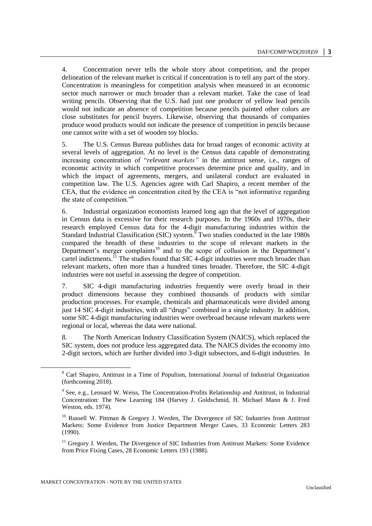4. Concentration never tells the whole story about competition, and the proper delineation of the relevant market is critical if concentration is to tell any part of the story. Concentration is meaningless for competition analysis when measured in an economic sector much narrower or much broader than a relevant market. Take the case of lead writing pencils. Observing that the U.S. had just one producer of yellow lead pencils would not indicate an absence of competition because pencils painted other colors are close substitutes for pencil buyers. Likewise, observing that thousands of companies produce wood products would not indicate the presence of competition in pencils because one cannot write with a set of wooden toy blocks.

5. The U.S. Census Bureau publishes data for broad ranges of economic activity at several levels of aggregation. At no level is the Census data capable of demonstrating increasing concentration of "*relevant markets"* in the antitrust sense, i.e., ranges of economic activity in which competitive processes determine price and quality, and in which the impact of agreements, mergers, and unilateral conduct are evaluated in competition law. The U.S. Agencies agree with Carl Shapiro, a recent member of the CEA, that the evidence on concentration cited by the CEA is "not informative regarding the state of competition."<sup>8</sup>

6. Industrial organization economists learned long ago that the level of aggregation in Census data is excessive for their research purposes. In the 1960s and 1970s, their research employed Census data for the 4-digit manufacturing industries within the Standard Industrial Classification (SIC) system.<sup>9</sup> Two studies conducted in the late 1980s compared the breadth of these industries to the scope of relevant markets in the Department's merger complaints<sup>10</sup> and to the scope of collusion in the Department's cartel indictments.<sup> $\Pi$ </sup> The studies found that SIC 4-digit industries were much broader than relevant markets, often more than a hundred times broader. Therefore, the SIC 4-digit industries were not useful in assessing the degree of competition.

7. SIC 4-digit manufacturing industries frequently were overly broad in their product dimensions because they combined thousands of products with similar production processes. For example, chemicals and pharmaceuticals were divided among just 14 SIC 4-digit industries, with all "drugs" combined in a single industry. In addition, some SIC 4-digit manufacturing industries were overbroad because relevant markets were regional or local, whereas the data were national.

8. The North American Industry Classification System (NAICS), which replaced the SIC system, does not produce less aggregated data. The NAICS divides the economy into 2-digit sectors, which are further divided into 3-digit subsectors, and 6-digit industries. In

<sup>8</sup> Carl Shapiro, Antitrust in a Time of Populism, International Journal of Industrial Organization (forthcoming 2018).

<sup>&</sup>lt;sup>9</sup> See, e.g., Leonard W. Weiss, The Concentration-Profits Relationship and Antitrust, in Industrial Concentration: The New Learning 184 (Harvey J. Goldschmid, H. Michael Mann & J. Fred Weston, eds. 1974).

<sup>&</sup>lt;sup>10</sup> Russell W. Pittman & Gregory J. Werden, The Divergence of SIC Industries from Antitrust Markets: Some Evidence from Justice Department Merger Cases, 33 Economic Letters 283 (1990).

<sup>&</sup>lt;sup>11</sup> Gregory J. Werden, The Divergence of SIC Industries from Antitrust Markets: Some Evidence from Price Fixing Cases, 28 Economic Letters 193 (1988).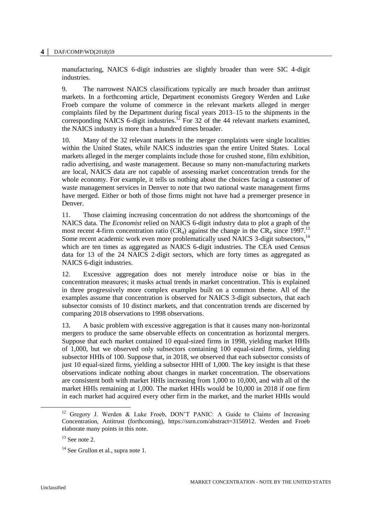manufacturing, NAICS 6-digit industries are slightly broader than were SIC 4-digit industries.

9. The narrowest NAICS classifications typically are much broader than antitrust markets. In a forthcoming article, Department economists Gregory Werden and Luke Froeb compare the volume of commerce in the relevant markets alleged in merger complaints filed by the Department during fiscal years 2013–15 to the shipments in the corresponding NAICS 6-digit industries.<sup>12</sup> For 32 of the 44 relevant markets examined, the NAICS industry is more than a hundred times broader.

10. Many of the 32 relevant markets in the merger complaints were single localities within the United States, while NAICS industries span the entire United States. Local markets alleged in the merger complaints include those for crushed stone, film exhibition, radio advertising, and waste management. Because so many non-manufacturing markets are local, NAICS data are not capable of assessing market concentration trends for the whole economy. For example, it tells us nothing about the choices facing a customer of waste management services in Denver to note that two national waste management firms have merged. Either or both of those firms might not have had a premerger presence in Denver.

11. Those claiming increasing concentration do not address the shortcomings of the NAICS data. The *Economist* relied on NAICS 6-digit industry data to plot a graph of the most recent 4-firm concentration ratio (CR<sub>4</sub>) against the change in the CR<sub>4</sub> since 1997.<sup>13</sup> Some recent academic work even more problematically used NAICS 3-digit subsectors,<sup>14</sup> which are ten times as aggregated as NAICS 6-digit industries. The CEA used Census data for 13 of the 24 NAICS 2-digit sectors, which are forty times as aggregated as NAICS 6-digit industries.

12. Excessive aggregation does not merely introduce noise or bias in the concentration measures; it masks actual trends in market concentration. This is explained in three progressively more complex examples built on a common theme. All of the examples assume that concentration is observed for NAICS 3-digit subsectors, that each subsector consists of 10 distinct markets, and that concentration trends are discerned by comparing 2018 observations to 1998 observations.

13. A basic problem with excessive aggregation is that it causes many non-horizontal mergers to produce the same observable effects on concentration as horizontal mergers. Suppose that each market contained 10 equal-sized firms in 1998, yielding market HHIs of 1,000, but we observed only subsectors containing 100 equal-sized firms, yielding subsector HHIs of 100. Suppose that, in 2018, we observed that each subsector consists of just 10 equal-sized firms, yielding a subsector HHI of 1,000. The key insight is that these observations indicate nothing about changes in market concentration. The observations are consistent both with market HHIs increasing from 1,000 to 10,000, and with all of the market HHIs remaining at 1,000. The market HHIs would be 10,000 in 2018 if one firm in each market had acquired every other firm in the market, and the market HHIs would

l

<sup>&</sup>lt;sup>12</sup> Gregory J. Werden & Luke Froeb, DON'T PANIC: A Guide to Claims of Increasing Concentration, Antitrust (forthcoming), https://ssrn.com/abstract=3156912. Werden and Froeb elaborate many points in this note.

 $13$  See note 2.

 $14$  See Grullon et al., supra note 1.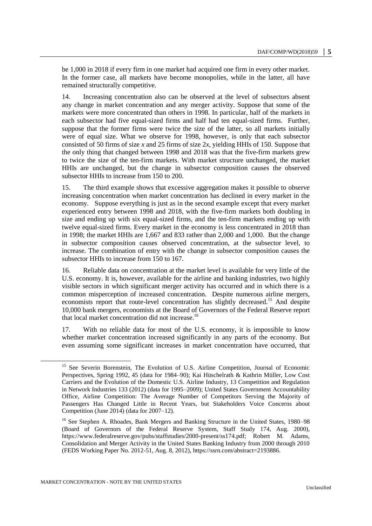be 1,000 in 2018 if every firm in one market had acquired one firm in every other market. In the former case, all markets have become monopolies, while in the latter, all have remained structurally competitive.

14. Increasing concentration also can be observed at the level of subsectors absent any change in market concentration and any merger activity. Suppose that some of the markets were more concentrated than others in 1998. In particular, half of the markets in each subsector had five equal-sized firms and half had ten equal-sized firms. Further, suppose that the former firms were twice the size of the latter, so all markets initially were of equal size. What we observe for 1998, however, is only that each subsector consisted of 50 firms of size *x* and 25 firms of size 2*x*, yielding HHIs of 150. Suppose that the only thing that changed between 1998 and 2018 was that the five-firm markets grew to twice the size of the ten-firm markets. With market structure unchanged, the market HHIs are unchanged, but the change in subsector composition causes the observed subsector HHIs to increase from 150 to 200.

15. The third example shows that excessive aggregation makes it possible to observe increasing concentration when market concentration has declined in every market in the economy. Suppose everything is just as in the second example except that every market experienced entry between 1998 and 2018, with the five-firm markets both doubling in size and ending up with six equal-sized firms, and the ten-firm markets ending up with twelve equal-sized firms. Every market in the economy is less concentrated in 2018 than in 1998; the market HHIs are 1,667 and 833 rather than 2,000 and 1,000. But the change in subsector composition causes observed concentration, at the subsector level, to increase. The combination of entry with the change in subsector composition causes the subsector HHIs to increase from 150 to 167.

16. Reliable data on concentration at the market level is available for very little of the U.S. economy. It is, however, available for the airline and banking industries, two highly visible sectors in which significant merger activity has occurred and in which there is a common misperception of increased concentration. Despite numerous airline mergers, economists report that route-level concentration has slightly decreased.<sup>15</sup> And despite 10,000 bank mergers, economists at the Board of Governors of the Federal Reserve report that local market concentration did not increase.<sup>16</sup>

17. With no reliable data for most of the U.S. economy, it is impossible to know whether market concentration increased significantly in any parts of the economy. But even assuming some significant increases in market concentration have occurred, that

<sup>&</sup>lt;sup>15</sup> See Severin Borenstein, The Evolution of U.S. Airline Competition, Journal of Economic Perspectives, Spring 1992, 45 (data for 1984–90); Kai Hüschelrath & Kathrin Müller, Low Cost Carriers and the Evolution of the Domestic U.S. Airline Industry, 13 Competition and Regulation in Network Industries 133 (2012) (data for 1995–2009); United States Government Accountability Office, Airline Competition: The Average Number of Competitors Serving the Majority of Passengers Has Changed Little in Recent Years, but Stakeholders Voice Concerns about Competition (June 2014) (data for 2007–12).

<sup>&</sup>lt;sup>16</sup> See Stephen A. Rhoades, Bank Mergers and Banking Structure in the United States, 1980–98 (Board of Governors of the Federal Reserve System, Staff Study 174, Aug. 2000), https://www.federalreserve.gov/pubs/staffstudies/2000-present/ss174.pdf; Robert M. Adams, Consolidation and Merger Activity in the United States Banking Industry from 2000 through 2010 (FEDS Working Paper No. 2012-51, Aug. 8, 2012), https://ssrn.com/abstract=2193886.